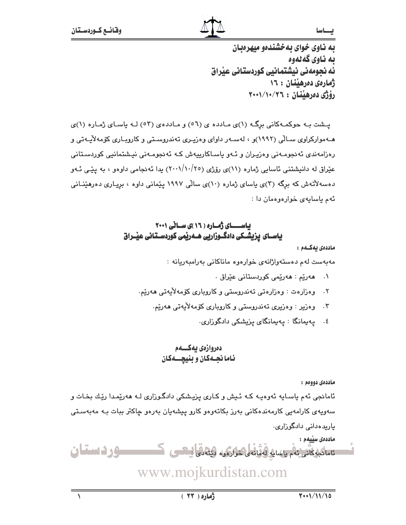يه ناوي خواي په خشندهو ميهرهيان ىە ناوي گەنەوە ئه نجومهني نيشتمانيي كوردستاني عيّراق ژمارهی دهرهینتان : ۱۶ رۆژى دەرھىنان : ٢٦/١٠/٢٠٦

یشت به حوکمهکانی برگ (۱)ی مادده ی (۵٦) و ماددهی (٥٣) لـه یاسای ژماره (۱)ی هــهوارکراوی سـالّی (۱۹۹۲)و ، لهسـهر داوای وهزیـری تهندروسـتی و کاروبـاری کوّمهلاّیـهتی و رەزامەندى ئەنجومـەنى وەزيـران و ئـەو ياسـاكارييەش كـە ئەنجومـەنى نيـشتمانيى كوردسـتانى عێراق له دانیشتنی ئاسایی ژماره (۱۱)ی رۆژی (۲۰۰//۰/۲٥) یدا ئەنجامی داوەو ، به یێی ئـهو دهسهلاٌتهش که برِگه (۳)ی یاسای ژماره (۱۰)ی سالْی ۱۹۹۷ پیْمانی داوه ، برِیـاری دهرهیٚنـانی ئهم ياسايهى خوارهوهمان دا:

# باســای ژماره ( ۱٦ )ی سـانی ۲۰۰۱ یاســای پزیشــکی دادگــوزاریی هـــهرپْمی کوردســتـانی عیـْــراق

ماددەى يەكــەم :

مەبەست لەم دەستەولژانەي خوارەوە ماناكانى بەرامبەريانە :

- ٠١ هەريم : هەريمى كوردستانى عيّراق .
- ۲. وەزارەت : وەزارەتى تەندروستى وكاروبارى كۆمەلأيەتى ھەريم.
	- ۴. وەزير : وەزيرى تەندروستى و كاروبارى كۆمەلأيەتى ھەريم.
		- ٤. پەيمانگا : پەيمانگاي پزيشكى دادگوزارى.

# دەروازەي يەكـــەم ئاما نجـهكان و بنيچـــهكان

ماددەي دووەم :

ئامانجي ئهم ياسـايه ئهوهيـه کـه ئـيش و کـاري يزيـشکي دادگـوزاري لـه ههرێمـدا رێـك بخـات و سەويەي كارامەيى كارمەندەكانى بەرز بكاتەوەو كارو پيشەيان بەرەو چاكتر ببات بـە مەبەسـتى یاریدەدانی دادگوزاری.

ماددەي سىيەم : ئاماكىفكانى ئەم ياسايە لەقبانە ، ئواردى، ئۇيغانى ايىتىپ ك وردستان

www.mojkurdistan.com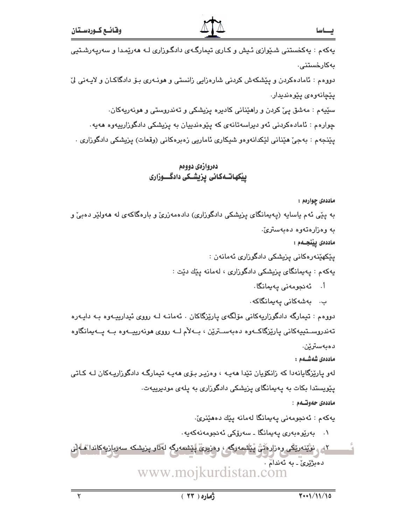پهکهم : پهکخستنی شـێوازی ئـیش و کـاری تیمارگـهی دادگـوزاری لـه ههرێمـدا و سهریـهرشـتیی بەكارخستنى.

دووهم : ئامادەكردن و پێشكەش كردنى شارەزايى زانستى و ھونـەرى بـۆ دادگاكـان و لايـەنى ليّ یٽچانهوهي یٽوهنديدار.

سێپهم : مەشق ییٚ کردن و راهێنانی کادیره یزیشکی و تەندروستی و هونەرپەکان.

چوارهم : ئامادهکردنی ئهو دیراسهتانهی که پیّوهندییان به پزیشکی دادگوزارییهوه ههیه.

پێنجهم : بهجیٚ هێنانی لێکدانهوهو شیکاری ئاماریی زهبرهکانی (وقعات) پزیشکی دادگوزاری .

# دەروازەي دووەم ییکهاتــهکانی پزیشــکی دادگــــوزاری

ماددهی چوارهم:

به پێی ئهم یاسایه (پهیمانگای پزیشکی دادگوزاری) دادهمهزریّ و بارهگاکهی له ههولێر دهبیّ و به وەزارەتەوە دەبەسترىّ.

ماددەى يېنجىمم :

يێػۿێۣنەرەكانى يزيشكى دادگوزارى ئەمانەن :

پەكەم : پەيمانگاى پزيشكى دادگوزارى ، لەمانە يێك دێت :

- اً. ئەنجومەنى يەيمانگا.
- ب. بەشەكانى يەيمانگاكە.

دووهم : تیمارگه دادگوزاریهکانی مۆلگەی پارێزگاکان . ئەمانــه لــه رووی ئیدارییــهوه بــه دایــهره تەندروسىـتپيەكانى يارێزگاكــەوە دەبەســترێن ، بــەلأم لــە رووى ھونەريپــەوە بــە يــەيمانگاوە دەبەسترێن.

ماددەى شەشــەم :

لەو پارێزگايانەدا كە زانكۆيان تێدا ھەپـە ، وەزيـر بـۆى ھەپـە تيمارگـە دادگوزاريـەكان لـە كـاتى یێویستدا بکات به پهیمانگای پزیشکی دادگوزاری به پلهی مودیرییهت. ماددەي جەوتىمم :

يەكەم : ئەنجومەنى يەيمانگا لەمانە يێك دەھێنرێ.

۰۱ بەريوەبەرى يەيمانگا ـ سەرۆكى ئەنجومەنەكەيە.

<u>۲، ، نوْیّن</u>ەریْکَی رەزارەتْنْ یْیْتْیمەرگە ، رەزیریْ ییشمەرگە لەنار پزیشکە سەربازیەکاندا ماەلی دەبژێرێ ـ بە ئەندامْ . www.mojkurdistan.com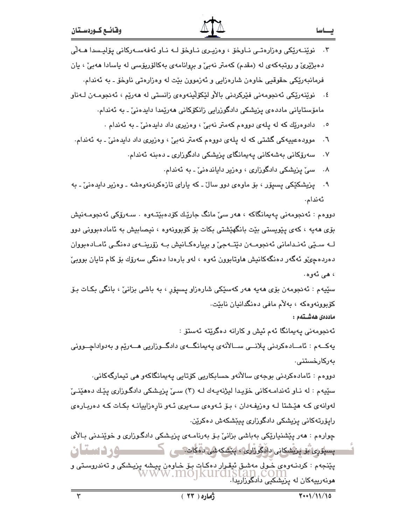۳. نوێنــەرێکی وەزارەتــی نــاوخۆ ، وەزیـری نــاوخۆ لــه نــاو ئەفەســەرکانی یۆلیـسدا مــەلّی دەبژێرێ و روتبەکەی لە (مقدم) کەمتر نەبیٚ و بروانامەی بەکالۆرپۆسى لە ياسادا ھەبیٚ ، يان فرمانبهريکي حقوقيي خاوهن شارهزايي و ئهزموون بيّت له وهزارهتي ناوخوّ ـ به ئهندام.

- ٤. نوێنەرێکى ئەنجومەنى فێرکردنى بالأو لێکۆلێنەوەي زانستى لە ھەرێم ، ئەنجومـەن لـەناو مامۆستايانى ماددەي پزيشكى دادگوزرايى زانكۆكانى ھەرپمدا دايدەنى ّ ـ بە ئەندام.
	- ٥. دادوهريّك كه له پلهى دووهم كهمتر نهبيّ ، وهزيرى داد دايدهنيّ ـ به ئهندام .
- ٦. موودهعیپهکی گشتی که له یلهی دووهم کهمتر نهبیؒ ، وهزیری داد دایدهنیؒ ـ به ئهندام.
	- سەرۆكانى بەشەكانى پەيمانگاي پزيشكى دادگوزارى ـ دەبنە ئەندام.  $\cdot$  .  $\vee$ 
		- سیٰ پزیشکی دادگوزاری ، وهزیر دایاندهنیٰ ـ به ئهندام.  $\cdot$  .  $\wedge$
- ۹. يزيشکێکي پسيۆر ، بۆ ماوەي دوو سالٌ ـ که ياراي تازەکردنەوەشە ـ وەزير دايدەنىؒ ـ بە ئەندام.

دووهم : ئەنجومەنى پەيمانگاكە ، ھەر سىّ مانگ جارێك كۆدەبێتـەوە ٠ سـەرۆكى ئەنجومـەنيش بۆي ھەپە ، كەي يێويستى بێت بانگھێشتى بكات بۆ كۆبوونەوە ، نيصابيش بە ئامادەبوونى دوو لــه ســێي ئەنــدامانى ئەنجومــەن دێتــەجىٚ و برِيارەكــانيش بــە زۆرينــەي دەنگــى ئامــادەبووان دهردهجيٌو ئهگەر دەنگەكانيش ماوتابوون ئەوە ، لەو بارەدا دەنگى سەرۆك بۆ كام تايان بوويىٌ ، هے رڻهوره،

سٽيهم : ئەنجومەن بۆي ھەيە ھەر كەسٽكى شارەزاو پسىيۆر ، بە باشى بزانىؒ ، بانگى بكـات بـۆ کۆبوونەوەكە ، بەلأم مافى دەنگدانيان نابێت.

ماددەى ھەشــتەم :

ئەنجومەنى پەيمانگا ئەم ئيش و كارانە دەگرێتە ئەستۆ :

يەكـــەم : ئامـــادەكردنى يلانـــى ســـالأنەي يەيمانگـــەي دادگـــوزاريى ھـــەرێم و بەدواداچـــوونى بەركارخستنى.

دووهم : ئامادەكردنى بوجەي سالآنەو حسابكاريى كۆتايى يەيمانگاكەو مى تيمارگەكانى. سێپهم : له نـاو ئهندامـهکانی خۆیـدا لیژنهیـهك لـه (۳) سـیٌ پزیـشکی دادگـوزاری یێـك دهفێنـیّ لهوانهي کـه هێشتا لـه وهزيفـهدان ، بـۆ ئـهوهي سـهيري ئـهو نارهزاييانـه بکـات کـه دهربـارهي رايۆرتەكانى يزيشكى دادگوزارى ييېشكەش دەكرين.

چوارەم : ھەر يێشنيارێکى بەباشى بزانىٚ بىۆ بەرنامـەي پزيـشکى دادگـوزارى و خوێنـدنى بـالأى پسپورى بۆيۈندى دافگوڙارى، پيشكەشى لەكات كى ك **سورد دستان** پێنجهم : کردنـهوهی خـولی مهشـق ئیقـوار دهکـات بـۆ خـاوهن پیـشه پزیـشکی و تهندروسـتی و<br>WWW .InO1KUI'd1Stan .COIN هونهرییهکان له پزیشکیی دادگی:w.mojkurdistan<br>هونهرییهکان له پزیشکیی دادگوزاریدا.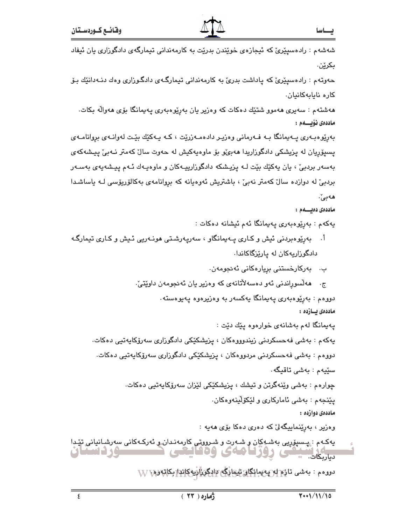شەشەم : رادەسىيىرى كە ئېجازەي خويندن بدريت بە كارمەندانى تېمارگەي دادگوزارى يان ئېفاد بكرێِن.

حەوتەم : رادەسىيێرىّ كە ياداشت بدرىّ بە كارمەندانى تيمارگـەي دادگـوزارى وەك دنـەدانێك بـۆ كارە نايابەكانيان.

هەشتەم : سەيرى ھەموو شتێك دەكات كە وەزير يان بەرێوەبەرى يەيمانگا بۆى ھەوالّە بكات. ماددەى ئۆيسىلەم :

بهریوه بهری په پمانگا بـه فـهرمانی وهزیـر دادهمـهزریّت ، کـه یـهکیّك بیّـت لهوانـهی بروانامـهی پسپۆريان له پزيشكى دادگوزاريدا ھەبىمو بۆ ماوەپەكيش لە حەوت سال كەمتر نـەبى پيـشەكەي بەسەر بردېئ ، يان يەكێك بێت لـﻪ يزيـشكه دادگوزارييـﻪكان و ماوەپـﻪك ئـﻪم پيـشەپەي بەسـﻪر بردبیؒ له دوازده سالؒ کهمتر نهبیؒ ، باشتریش ئەوەپانە کە بروانامەی بەکالۆریۆسی لـه یاساشـدا هەبىْ.

### ماددەى دەيسىمە :

يەكەم : بەرپوەبەرى يەيمانگا ئەم ئيشانە دەكات :

اً. بەرێوەبردنى ئیش و كـارى پــەيمانگاو ، سەريـەرشـتى ھونـەريى ئـيش و كـارى تيمارگـه دادگوراریهکان له یاریزگاکاندا.

ب. بەركارخستنى بريارەكانى ئەنجومەن.

هەلسوراندنی ئەو دەسەلاتانەي كە وەزیر یان ئەنجومەن داوێتىٚ٠  $\cdot$   $\tau$ 

دووهم : بەرێوەبەرى پەيمانگا پەكسەر بە وەزيرەوە يەيوەستە.

ماددەى يسازدە :

پهيمانگا لهم بهشانهي خوارهوه يێك دێت :

يەكەم : بەشى فەحسكردنى زيندوووەكان ، پزيشكێكى دادگوزارى سەرۆكايەتيى دەكات.

دووهم : بەشى فەحسكردنى مردووەكان ، يزيشكێكى دادگوزارى سەرۆكايەتيى دەكات.

سٽيهم : بهشي تاقيگه .

چوارهم : بەشى وێنەگرتن و تیشك ، پزیشكێكى لێزان سەرۆكاپەتپى دەكات.

يێنجهم : بهشي ئاماركاري و لێكۆلينهوهكان.

ماددەي دوازدە :

وەزير ، بەرێنماييگەلىٰ كە دەرى دەكا بۆى ھەيە :

يەكـهم : پيسيۆريى بەشـوكان و شـەرت و شـرووتى كارمەنـدان و ئەركـەكانى سەرشـانيانى تێدا سی روز**تا م**ائ وہ قایعی **Mutual 2 30:** دیاریکات.

دووهم : بەشى تازە لە يەيمانگان تايمارگە «ادگوراريەكاندا بكاتەرە \ VV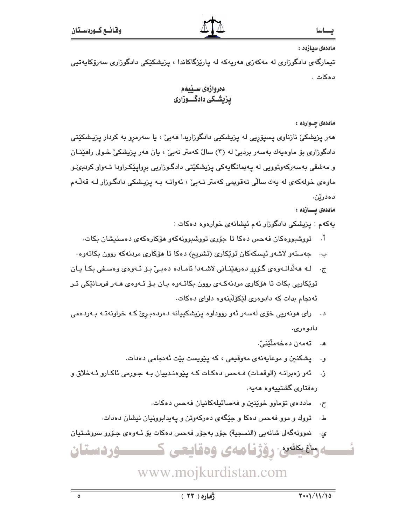### ماددەى سىازدە :

تیمارگەی دادگوزاری لە مەكەزى ھەرپەكە لە پارێزگاكاندا ، پزیشكێكى دادگوزاری سەرۆكاپەتیى دەكات .

# دەروازەي سىيىەم یزیشکی دادگـــوزاری

### ماددهۍ چــوارده :

هەر پزیشکیؒ نازناوی پسپۆریی لە پزیشکیی دادگوزاریدا هەبیؒ ، یا سەرمرو بە کردار پزیشکێتی دادگوزاری بۆ ماوەپەك بەسەر بردېئ لە (۳) سالٌ كەمتر نەبیؒ ، يان ھەر پزیشكیؒ خـولى راھێنــان و مەشقى بەسەركەوتوويى لە پەيمانگايەكى پزيشكێتى دادگوزاريى برواپێكراودا تـەواو كردېئىو ماوەي خولەكەي لە يەك سالى تەقويمى كەمتر نـەبىّ ، ئەوانـە بـە يزيـشكى دادگـوزار لـە قەلّـەم دەدرێن.

### ماددەى يـــازدە :

پهکهم : پزیشکی دادگوزار ئهم ئیشانهی خوارهوه دهکات :

- أ. تووشبووهکان فهحس دهکا تا جۆری تووشبوونهکهو هۆکارهکهی دهسنیشان بکات.
- ب. \_ جەستەو لاشەو ئيسكەكان توپكارى (تشريح) دەكا تا ھۆكارى مردنەكە روون بكاتەوە.
- ج. له هەلدانـەوەي گۆرۈ دەرھێنـانى لاشـەدا ئامـادە دەبـی بـۆ ئـەوەي وەسـفى بكـا يـان توێِکاریی بکات تا هۆکاری مردنهکـهی روون بکاتـهوه پـان بـۆ ئـهوهی هـهر فرمـانێکی تـر ئه نجام بدات که دادوهري لێکۆلينهوه داواي دهکات.
- د. رای هونهریی خوّی لهسهر ئهو رووداوه یزیشکییانه دهردهبریّ کـه خراونهتـه بـهردهمی دادوەرى.
	- ه. تەمەن دەخەملىنىن.
	- و. پشکنین و موعایهنهی مهوقیعی ، که پیویست بیّت ئهنجامی دهدات.
- ز. ئەو زەبرانـه (الوقعـات) فـهحس دەكـات كـه يێوەنـدييان بـه جـورمى ئاكـارو ئـهخلاق و رەڧتارى گشتىيەوە ھەيە.
	- ح. ماددهی تۆماوو خوێنين و فهصائيلهکانيان فهحس دهکات.
	- ط. تووك و موو فهحس دهكا و جێگهى دهركهوتن و پهيدابوونيان نيشان دهدات.
- ی. نموونهگەلی شانەیی (النسجیة) جۆر بەجۆر فەحس دەکات بۆ ئـەوەی جـۆرو سروشـتیان

ەسقىكشىن رۆژنامەي وەقايعى ك <u>موردستان</u>

# www.mojkurdistan.com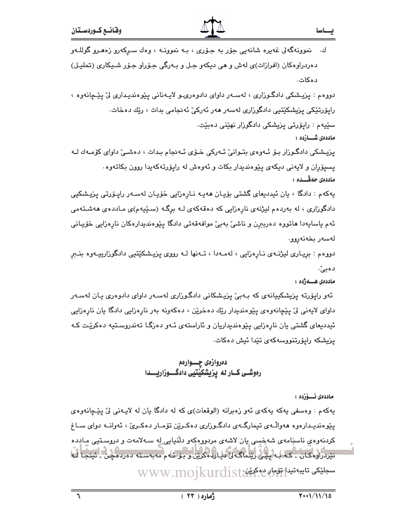$\mathcal{L}$ 

يهکهم : وهسفي يهکه يهکهي ئهو زهبرانه (الوقعات)ي که له دادگا يان له لايـهني ليّ پێڃانهوهي يێوهنديـدارهوه ههواڵـهي تيمارگـهي دادگـوزاري دهكـرێن تۆمـار دهكـريّ ، ئهوانــه دواي ســاغ كردنهوهي ناسنامهى شەخسى يان لاشەي مردوومكەو دلنيايى له سـهلامەت و دروستيى مـادده نیردراوه کان ۔ که به پینی رینماگه لی دیارده کرین و بو تـُهم مهبهسته ده رده چن ۔ ئینجا لـه www.mojkurdist

دەروازەي چـــوارەم رەوشــى كــار له يزيشكيّتيى دادگــــوزاريــــدا

ماددەى ئىسۆزدە :

ماددەى ھـــەژدە :

ئەو راپۆرتە پزیشکییانەی کە بـەبیْ پزیشکانی دادگـوزاری لەسـەر داوای دادوەری یـان لەسـەر داوای لایهنی لیٌ پیچانهوهی پیوهندیدار ریّك دهخریْن ، دهکهونه بهر نارهزایی دادگا یان نارهزایی ئيدديعاى گشتى يان نارەزايى يێوەنديداريان و ئاراستەي ئـەو دەزگـا تەندروسىتيە دەكرێت كـە یزیشکه رایۆرتنووسهکهی تێدا ئیش دهکات.

دووهم : بريـاري ليژنــهي نــارِهزايي ، لهمــهدا ، تــهنها لــه رووي يزيـشكێتيي دادگوزارييــهوه بنــبرِ ده بی`.

يەكەم : دادگا ، يان ئيدديعاى گشتى بۆيـان ھەيـە نـارەزايى خۆيـان لەسـەر رايـۆرتى پزيـشكيى دادگوزاری ، له بهردهم لیژنهی نارِهزایی که دهقهکهی لـه برگـه (سـێپهم)ی مـاددهی ههشـتهمی ئهم ياسايهدا هاتووه دەربېرن و ناشى بەبى موافەقەتى دادگا يێوەنديدارەكان نارەزايى خۆيـانى لەسەر بخەنەروو.

ماددەى شـــازدە : پزیشکی دادگـوزار بـۆ ئـهوهى بتـوانىٰ ئـهرکى خـۆى ئـهنجام بـدات ، دەشـىٰ داواى کۆمـەك لـه يسيۆران و لايەنى ديكەي يێوەنديدار بكات و ئەوەش لە رايۆرتەكەيدا روون بكاتەوە٠ ماددەي جەڤـــدە :

سێپهم : رايۆرتى يزيشكى دادگورار نهێنى دەبێت.

دووهم : پزیشکی دادگوراری ، لهسـهر داوای دادوهرۍـو لايـهناني پێوهنديـداری ليّ پێـڃانهوه ، رايۆرتێکى يزيشکێتيى دادگوزارى لەسەر ھەر ئەركىٚ ئەنجامى بدات ، رێك دەخات.

ِ نموونهگەلى غەيرە شانەيى جۆر بە جـۆرى ، بـە نموونــە ، وەك سـركەرو زەھـرو گوللــەو دهردراوهکان (افرازات)ی لهش و هی دیکهو جـل و بـهرگی جـۆراو جـۆر شـیکاری (تحلیـل) دەكات.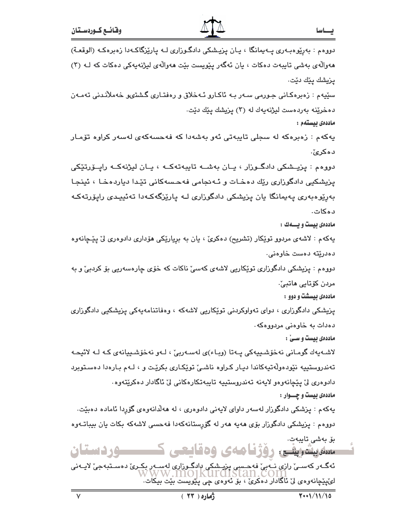| دووهم : بەرپوەبەرى پـەيمانگا ، يـان پزيـشكى دادگـوزارى لـە پارپْزگاكـەدا زەبرەكـە (الوقعـة)                   |
|---------------------------------------------------------------------------------------------------------------|
| هەوالّەی بەشى تايبەت دەكات ، يان ئەگەر پێويست بێت ھەوالّەی لیژنەيەكى دەكات كە لـﻪ (٣)                         |
| پزيشك پێك دێت.                                                                                                |
| سێیەم : زەبرەکانی جـورمی سـەر بـە ئاکـارو ئـەخلاق و رەڧتـار <i>ی</i> گـشتىو خەملاّنـدنى تەمـەن                |
| دەخرێ <mark>ن</mark> ە بەردەست لیژنەيەك لە (۳) پزیشك پێك دێت.                                                 |
| ماددەى بيستەم :                                                                                               |
| يەكەم : زەبرەكە لە سجلى تايبەتى ئەر بەشەدا كە فەحسەكە <i>ى</i> لەسەر كرا <mark>رە تۆ</mark> مـار              |
| دەكرىؒ.                                                                                                       |
| دووهم : پزیــشکی دادگــوزار ، یــان بهشــه تایبهتهکــه ، یــان لیژنهکــه راپــۆرتێکی                          |
| پزیشکیی دادگوزاری رێك دهخـات و ئـهنجامی فهحـسهکانی تێدا دیاردهخـا ، ئینجـا                                    |
| بەرێوەبەرى پەيمانگا يان پزيشكى دادگوزارى لـە پارێزگەكـەدا تەئييـدى راپۆرتەكـە                                 |
| د ه کات.                                                                                                      |
| ماددهی بیست و یسهك :                                                                                          |
| یهکهم : لاشهی مردوو توێکار (تشریح) دهکریؒ ، یان به برِیارێکی هۆداری دادوهری لیؒ پێچانهوه                      |
| دەدريتە دەست خاوەنى.                                                                                          |
| دووهم : پزیشکی دادگوزاری توێکاریی لاشهی کهسیٚ ناکات که خۆی چارەسەریی بۆ کردبیٚ و به                           |
| مردن كۆتايى ماتبىٰ ـ                                                                                          |
| ماددهی بیسشت و دوو :                                                                                          |
| پزیشکی دادگوزاری ، دوای تەواوکردنی توێکاریی لاشەکە ، وەفاتنامەيەکی پزیشکیی دادگوزاری                          |
| دەدات بە خاوەنى مردووەكە.                                                                                     |
| ماددهی بیست و سـیْ :                                                                                          |
| لاشەيەك گومانى نەخۆشىييەكى پـەتا (وبـاء)ى لەسـەربىّ ، لـەو نەخۆشـييانەى كـە لـە لائيحـە                       |
| تهندروستییه نێودهولّهتیهکاندا دیـار کـراوه ناشـیّ توێکـاری بکرێت و ، لـهم بـارهدا دهسـتوبرد                   |
| دادوهر <i>ی</i> نی پێچانەوەو لايەنە تەندروستييە تايبەتكارەكانى نی ئاگادار دەكرێتەوە .                         |
| ماددهی بیست و چـــوار :                                                                                       |
| یهکهم : پزشکی دادگوزار لهسهر داوای لایهنی دادوهری ، له ههلّدانهوهی گۆرِدا ئاماده دهبێت.                       |
| دووهم : پزیشکی دادگوزار بۆی هەیە هەر لە گۆرپستانەکەدا فەحسى لاشەکە بکات یان بیباتـەوە                         |
| بۆ بەشى تايبەت.<br>سلەيشىقى رۆژنامەي وەقايعى كىسسوردستان                                                      |
| ای کیلی کے مطلب کے مطلب کا کہ کہ اس کا اس کے اس کے اس کے ایک اُت کے اُت کے اُت کی کہ اُت کی کہ اُت کی ایک اُت |

ATA

 $\frac{1}{2}$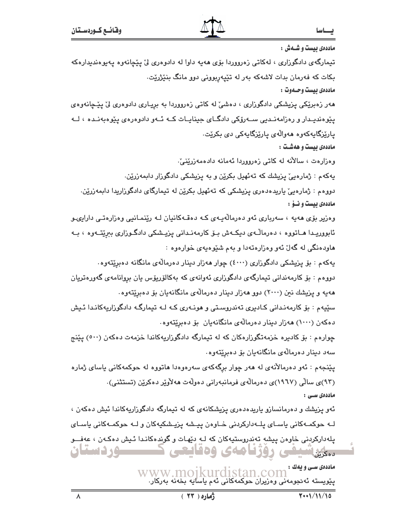ماددهی بیست و شسهش : تیمارگهی دادگوزاری ، لهکاتی زهرووردا بۆی هەیه داوا له دادوهری لیٌ پێچانەوه پەيوەندیدارەکە بکات که فهرمان بدات لاشهکه بهر له تێپهربوونی دوو مانگ بنێژرێت. ماددهي بيست وحسدوت : هەر زەبرێِکی پزیشکی دادگوزاری ، دەشیٚ له کاتی زەرووردا بە بریـاری دادوەری لیٰ پێڃانەوەی یێوەندیـدار و رەزامەنـدىي ســەرۆكى دادگــاى جینایــات كــە ئــەو دادوەرەي یێوەبەنـدە ، لــە يارێزگايەكەوە ھەوالەي يارێزگايەكى دى بكرێت. ماددهی بیست و ههشت : وەزارەت ، سالآنە لە كاتى زەرووردا ئەمانە دادەمەزرێنى، یهکهم : ژمارەییؒ یزیشك که تەئهیل بکرێن و به یزیشکی دادگوزار دابمەزرێن. دووهم : ژمارەيى ياريدەدەرى يزيشكى كە تەئھيل بكريْن لە تيمارگاى دادگوزاريدا دابمەزريْن. ماددهی بیست و نسوّ : وهزیر بۆی هەیە ، سەرباری ئەو دەرمالەیەی کـه دەقـەکانیان لـه رێنمـانیی وەزارەتـی دارایىو ئابووریـدا هــاتووه ، دەرمالـّــەی دیکــهش بــۆ کارمەنــدانى یـزیــشکى دادگــوزاری بېرێتـــەوه ، بــه هاودهنگی له گهلٌ ئهو وهزارهتهدا و بهم شَيْوهيهي خوارهوه : پهکهم : بۆ پزیشکی دادگوزاری (٤٠٠٠) چوار ههزار دینار دهرمالّهی مانگانه دهبریّتهوه. دووهم : بۆ كارمەندانى تېمارگەي دادگوزارى ئەوانەي كە بەكالۆريۆس يان بروانامەي گەورەتريان ههیه و پزیشك نین (۲۰۰۰) دوو ههزار دینار دهرمالهی مانگانهیان بو دهبریتهوه. سٽيهم : بۆ کارمەندانى کـادېرى تەندروسىتى و هونـەرى کـه لـه تيمارگـه دادگوراريەکانـدا ئـيش دهکهن (۱۰۰۰) ههزار دینار دهرمالهی مانگانهیان بۆ دهبریتهوه. چوارهم : بۆ كاديره خزمەتگوزارەكان كە لە تيمارگە دادگوزاريەكاندا خزمەت دەكەن (٥٠٠) يێنج سەد دىنار دەرمالەي مانگانەيان بۆ دەبريتەوە. پێنجهم : ئەو دەرمالآنەي لە ھەر چوار برگەكەي سەرەوەدا ھاتووە لە حوكمەكانى ياساي ژمارە (۹۳)ی سالّی (۱۹۲۷)ی دهرمالّهی فرمانبهرانی دهولّهت ههلاّویّر دهکریّن (تستثنی). ماددەى سى : ئەو پزیشك و دەرمانسازو پاریدەدەری پزیشكانەی كە لە تیمارگە دادگوزاریەكاندا ئیش دەكەن ، لـه حوکمـهکانی یاسـای پلــهدارکردنی خـاوهن ییـشه یزیـشکیهکان و لـه حوکمـهکانی یاسـای یلهدارکردنی خاوهن پیشه تهندروستیهکان که لـه دێهات و گوندهکانـدا ئـیش دهکـهن ، عهفــو **سور دوستان** دهگراسیشی روزنامه ی ودنایتی ماددەى سى و يەك : سادوی سے وہا۔<br>پنویسته ئەنجومەنى وەزیران حوکمەکانى ئەم ياسايە بخەنە بەركار.<br>پنویستە ئەنجومەنى وەزیران حوکمەکانى ئەم ياسايە بخەنە بەركار.